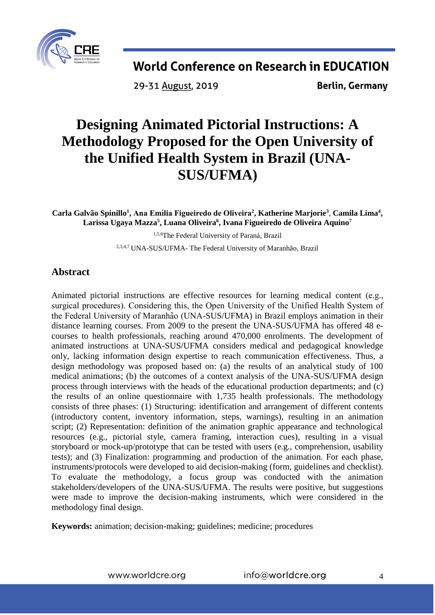

29-31 August, 2019

**Berlin, Germany** 

# **Designing Animated Pictorial Instructions: A Methodology Proposed for the Open University of the Unified Health System in Brazil (UNA-SUS/UFMA)**

**Carla Galvão Spinillo<sup>1</sup> , Ana Emí lia Figueiredo de Oliveira 2 , Katherine Marjorie<sup>3</sup>** , **Camila Lima<sup>4</sup> , Larissa Ugaya Mazza 5 , Luana Oliveira<sup>6</sup> , Ivana Figueiredo de Oliveira Aquino 7**

1,5,6The Federal University of Paraná, Brazil

2,3,4,7 UNA-SUS/UFMA- The Federal University of Maranhão, Brazil

### **Abstract**

Animated pictorial instructions are effective resources for learning medical content (e.g., surgical procedures). Considering this, the Open University of the Unified Health System of the Federal University of Maranhão (UNA-SUS/UFMA) in Brazil employs animation in their distance learning courses. From 2009 to the present the UNA-SUS/UFMA has offered 48 ecourses to health professionals, reaching around 470,000 enrolments. The development of animated instructions at UNA-SUS/UFMA considers medical and pedagogical knowledge only, lacking information design expertise to reach communication effectiveness. Thus, a design methodology was proposed based on: (a) the results of an analytical study of 100 medical animations; (b) the outcomes of a context analysis of the UNA-SUS/UFMA design process through interviews with the heads of the educational production departments; and (c) the results of an online questionnaire with 1,735 health professionals. The methodology consists of three phases: (1) Structuring: identification and arrangement of different contents (introductory content, inventory information, steps, warnings), resulting in an animation script; (2) Representation: definition of the animation graphic appearance and technological resources (e.g., pictorial style, camera framing, interaction cues), resulting in a visual storyboard or mock-up/prototype that can be tested with users (e.g., comprehension, usability tests); and (3) Finalization: programming and production of the animation. For each phase, instruments/protocols were developed to aid decision-making (form, guidelines and checklist). To evaluate the methodology, a focus group was conducted with the animation stakeholders/developers of the UNA-SUS/UFMA. The results were positive, but suggestions were made to improve the decision-making instruments, which were considered in the methodology final design.

**Keywords:** animation; decision-making; guidelines; medicine; procedures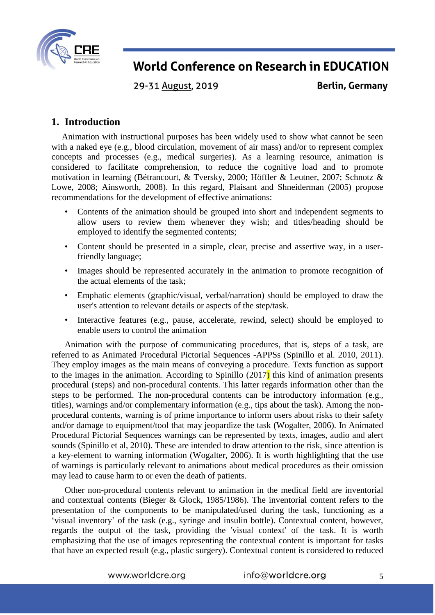

29-31 August, 2019

**Berlin, Germany** 

### **1. Introduction**

Animation with instructional purposes has been widely used to show what cannot be seen with a naked eye (e.g., blood circulation, movement of air mass) and/or to represent complex concepts and processes (e.g., medical surgeries). As a learning resource, animation is considered to facilitate comprehension, to reduce the cognitive load and to promote motivation in learning (Bétrancourt, & Tversky, 2000; Höffler & Leutner, 2007; Schnotz & Lowe, 2008; Ainsworth, 2008). In this regard, Plaisant and Shneiderman (2005) propose recommendations for the development of effective animations:

- Contents of the animation should be grouped into short and independent segments to allow users to review them whenever they wish; and titles/heading should be employed to identify the segmented contents;
- Content should be presented in a simple, clear, precise and assertive way, in a userfriendly language;
- Images should be represented accurately in the animation to promote recognition of the actual elements of the task;
- Emphatic elements (graphic/visual, verbal/narration) should be employed to draw the user's attention to relevant details or aspects of the step/task.
- Interactive features (e.g., pause, accelerate, rewind, select) should be employed to enable users to control the animation

Animation with the purpose of communicating procedures, that is, steps of a task, are referred to as Animated Procedural Pictorial Sequences -APPSs (Spinillo et al. 2010, 2011). They employ images as the main means of conveying a procedure. Texts function as support to the images in the animation. According to Spinillo  $(2017)$  this kind of animation presents procedural (steps) and non-procedural contents. This latter regards information other than the steps to be performed. The non-procedural contents can be introductory information (e.g., titles), warnings and/or complementary information (e.g., tips about the task). Among the nonprocedural contents, warning is of prime importance to inform users about risks to their safety and/or damage to equipment/tool that may jeopardize the task (Wogalter, 2006). In Animated Procedural Pictorial Sequences warnings can be represented by texts, images, audio and alert sounds (Spinillo et al, 2010). These are intended to draw attention to the risk, since attention is a key-element to warning information (Wogalter, 2006). It is worth highlighting that the use of warnings is particularly relevant to animations about medical procedures as their omission may lead to cause harm to or even the death of patients.

Other non-procedural contents relevant to animation in the medical field are inventorial and contextual contents (Bieger & Glock, 1985/1986). The inventorial content refers to the presentation of the components to be manipulated/used during the task, functioning as a 'visual inventory' of the task (e.g., syringe and insulin bottle). Contextual content, however, regards the output of the task, providing the 'visual context' of the task. It is worth emphasizing that the use of images representing the contextual content is important for tasks that have an expected result (e.g., plastic surgery). Contextual content is considered to reduced

5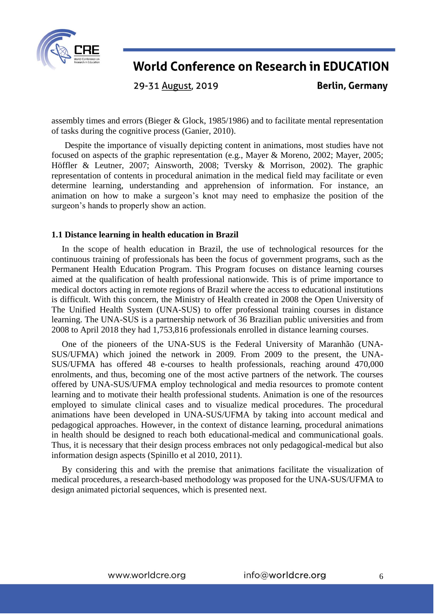

29-31 August, 2019

**Berlin, Germany** 

assembly times and errors (Bieger & Glock, 1985/1986) and to facilitate mental representation of tasks during the cognitive process (Ganier, 2010).

Despite the importance of visually depicting content in animations, most studies have not focused on aspects of the graphic representation (e.g., Mayer & Moreno, 2002; Mayer, 2005; Höffler & Leutner, 2007; Ainsworth, 2008; Tversky & Morrison, 2002). The graphic representation of contents in procedural animation in the medical field may facilitate or even determine learning, understanding and apprehension of information. For instance, an animation on how to make a surgeon's knot may need to emphasize the position of the surgeon's hands to properly show an action.

#### **1.1 Distance learning in health education in Brazil**

In the scope of health education in Brazil, the use of technological resources for the continuous training of professionals has been the focus of government programs, such as the Permanent Health Education Program. This Program focuses on distance learning courses aimed at the qualification of health professional nationwide. This is of prime importance to medical doctors acting in remote regions of Brazil where the access to educational institutions is difficult. With this concern, the Ministry of Health created in 2008 the Open University of The Unified Health System (UNA-SUS) to offer professional training courses in distance learning. The UNA-SUS is a partnership network of 36 Brazilian public universities and from 2008 to April 2018 they had 1,753,816 professionals enrolled in distance learning courses.

One of the pioneers of the UNA-SUS is the Federal University of Maranhão (UNA-SUS/UFMA) which joined the network in 2009. From 2009 to the present, the UNA-SUS/UFMA has offered 48 e-courses to health professionals, reaching around 470,000 enrolments, and thus, becoming one of the most active partners of the network. The courses offered by UNA-SUS/UFMA employ technological and media resources to promote content learning and to motivate their health professional students. Animation is one of the resources employed to simulate clinical cases and to visualize medical procedures. The procedural animations have been developed in UNA-SUS/UFMA by taking into account medical and pedagogical approaches. However, in the context of distance learning, procedural animations in health should be designed to reach both educational-medical and communicational goals. Thus, it is necessary that their design process embraces not only pedagogical-medical but also information design aspects (Spinillo et al 2010, 2011).

By considering this and with the premise that animations facilitate the visualization of medical procedures, a research-based methodology was proposed for the UNA-SUS/UFMA to design animated pictorial sequences, which is presented next.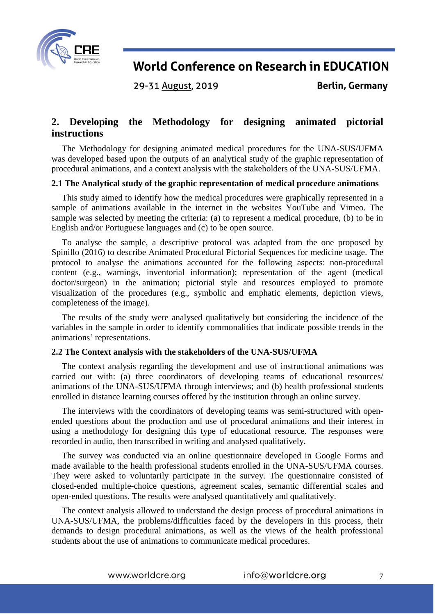

29-31 August, 2019

**Berlin, Germany** 

### **2. Developing the Methodology for designing animated pictorial instructions**

The Methodology for designing animated medical procedures for the UNA-SUS/UFMA was developed based upon the outputs of an analytical study of the graphic representation of procedural animations, and a context analysis with the stakeholders of the UNA-SUS/UFMA.

#### **2.1 The Analytical study of the graphic representation of medical procedure animations**

This study aimed to identify how the medical procedures were graphically represented in a sample of animations available in the internet in the websites YouTube and Vimeo. The sample was selected by meeting the criteria: (a) to represent a medical procedure, (b) to be in English and/or Portuguese languages and (c) to be open source.

To analyse the sample, a descriptive protocol was adapted from the one proposed by Spinillo (2016) to describe Animated Procedural Pictorial Sequences for medicine usage. The protocol to analyse the animations accounted for the following aspects: non-procedural content (e.g., warnings, inventorial information); representation of the agent (medical doctor/surgeon) in the animation; pictorial style and resources employed to promote visualization of the procedures (e.g., symbolic and emphatic elements, depiction views, completeness of the image).

The results of the study were analysed qualitatively but considering the incidence of the variables in the sample in order to identify commonalities that indicate possible trends in the animations' representations.

#### **2.2 The Context analysis with the stakeholders of the UNA-SUS/UFMA**

The context analysis regarding the development and use of instructional animations was carried out with: (a) three coordinators of developing teams of educational resources/ animations of the UNA-SUS/UFMA through interviews; and (b) health professional students enrolled in distance learning courses offered by the institution through an online survey.

The interviews with the coordinators of developing teams was semi-structured with openended questions about the production and use of procedural animations and their interest in using a methodology for designing this type of educational resource. The responses were recorded in audio, then transcribed in writing and analysed qualitatively.

The survey was conducted via an online questionnaire developed in Google Forms and made available to the health professional students enrolled in the UNA-SUS/UFMA courses. They were asked to voluntarily participate in the survey. The questionnaire consisted of closed-ended multiple-choice questions, agreement scales, semantic differential scales and open-ended questions. The results were analysed quantitatively and qualitatively.

The context analysis allowed to understand the design process of procedural animations in UNA-SUS/UFMA, the problems/difficulties faced by the developers in this process, their demands to design procedural animations, as well as the views of the health professional students about the use of animations to communicate medical procedures.

www.worldcre.org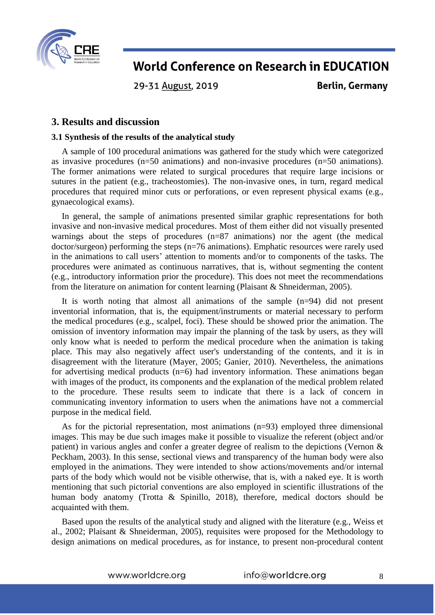

29-31 August, 2019

**Berlin, Germany** 

### **3. Results and discussion**

#### **3.1 Synthesis of the results of the analytical study**

A sample of 100 procedural animations was gathered for the study which were categorized as invasive procedures (n=50 animations) and non-invasive procedures (n=50 animations). The former animations were related to surgical procedures that require large incisions or sutures in the patient (e.g., tracheostomies). The non-invasive ones, in turn, regard medical procedures that required minor cuts or perforations, or even represent physical exams (e.g., gynaecological exams).

In general, the sample of animations presented similar graphic representations for both invasive and non-invasive medical procedures. Most of them either did not visually presented warnings about the steps of procedures (n=87 animations) nor the agent (the medical doctor/surgeon) performing the steps (n=76 animations). Emphatic resources were rarely used in the animations to call users' attention to moments and/or to components of the tasks. The procedures were animated as continuous narratives, that is, without segmenting the content (e.g., introductory information prior the procedure). This does not meet the recommendations from the literature on animation for content learning (Plaisant & Shneiderman, 2005).

It is worth noting that almost all animations of the sample (n=94) did not present inventorial information, that is, the equipment/instruments or material necessary to perform the medical procedures (e.g., scalpel, foci). These should be showed prior the animation. The omission of inventory information may impair the planning of the task by users, as they will only know what is needed to perform the medical procedure when the animation is taking place. This may also negatively affect user's understanding of the contents, and it is in disagreement with the literature (Mayer, 2005; Ganier, 2010). Nevertheless, the animations for advertising medical products  $(n=6)$  had inventory information. These animations began with images of the product, its components and the explanation of the medical problem related to the procedure. These results seem to indicate that there is a lack of concern in communicating inventory information to users when the animations have not a commercial purpose in the medical field.

As for the pictorial representation, most animations (n=93) employed three dimensional images. This may be due such images make it possible to visualize the referent (object and/or patient) in various angles and confer a greater degree of realism to the depictions (Vernon & Peckham, 2003). In this sense, sectional views and transparency of the human body were also employed in the animations. They were intended to show actions/movements and/or internal parts of the body which would not be visible otherwise, that is, with a naked eye. It is worth mentioning that such pictorial conventions are also employed in scientific illustrations of the human body anatomy (Trotta & Spinillo, 2018), therefore, medical doctors should be acquainted with them.

Based upon the results of the analytical study and aligned with the literature (e.g., Weiss et al., 2002; Plaisant & Shneiderman, 2005), requisites were proposed for the Methodology to design animations on medical procedures, as for instance, to present non-procedural content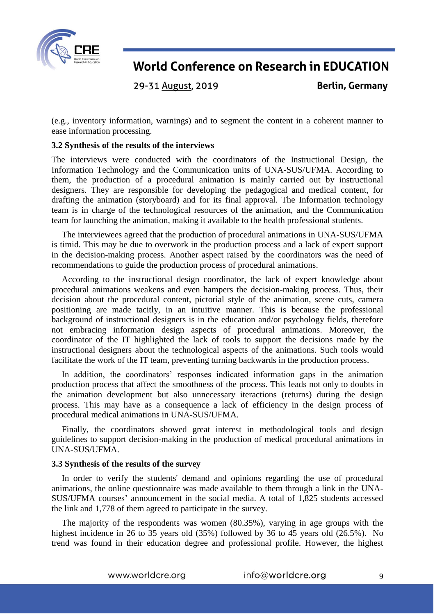

29-31 August, 2019

**Berlin, Germany** 

(e.g., inventory information, warnings) and to segment the content in a coherent manner to ease information processing.

#### **3.2 Synthesis of the results of the interviews**

The interviews were conducted with the coordinators of the Instructional Design, the Information Technology and the Communication units of UNA-SUS/UFMA. According to them, the production of a procedural animation is mainly carried out by instructional designers. They are responsible for developing the pedagogical and medical content, for drafting the animation (storyboard) and for its final approval. The Information technology team is in charge of the technological resources of the animation, and the Communication team for launching the animation, making it available to the health professional students.

The interviewees agreed that the production of procedural animations in UNA-SUS/UFMA is timid. This may be due to overwork in the production process and a lack of expert support in the decision-making process. Another aspect raised by the coordinators was the need of recommendations to guide the production process of procedural animations.

According to the instructional design coordinator, the lack of expert knowledge about procedural animations weakens and even hampers the decision-making process. Thus, their decision about the procedural content, pictorial style of the animation, scene cuts, camera positioning are made tacitly, in an intuitive manner. This is because the professional background of instructional designers is in the education and/or psychology fields, therefore not embracing information design aspects of procedural animations. Moreover, the coordinator of the IT highlighted the lack of tools to support the decisions made by the instructional designers about the technological aspects of the animations. Such tools would facilitate the work of the IT team, preventing turning backwards in the production process.

In addition, the coordinators' responses indicated information gaps in the animation production process that affect the smoothness of the process. This leads not only to doubts in the animation development but also unnecessary iteractions (returns) during the design process. This may have as a consequence a lack of efficiency in the design process of procedural medical animations in UNA-SUS/UFMA.

Finally, the coordinators showed great interest in methodological tools and design guidelines to support decision-making in the production of medical procedural animations in UNA-SUS/UFMA.

#### **3.3 Synthesis of the results of the survey**

In order to verify the students' demand and opinions regarding the use of procedural animations, the online questionnaire was made available to them through a link in the UNA-SUS/UFMA courses' announcement in the social media. A total of 1,825 students accessed the link and 1,778 of them agreed to participate in the survey.

The majority of the respondents was women (80.35%), varying in age groups with the highest incidence in 26 to 35 years old (35%) followed by 36 to 45 years old (26.5%). No trend was found in their education degree and professional profile. However, the highest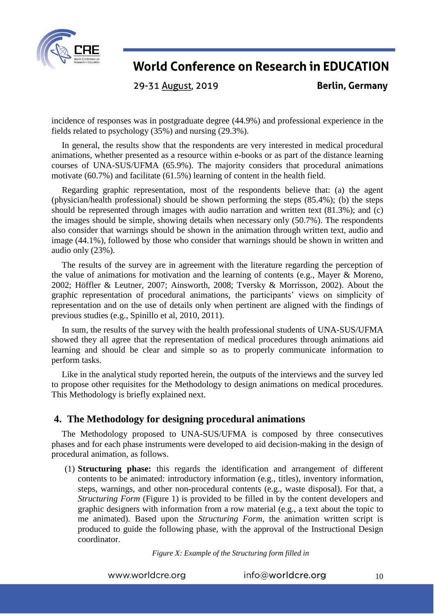

29-31 August, 2019

**Berlin, Germany** 

incidence of responses was in postgraduate degree (44.9%) and professional experience in the fields related to psychology (35%) and nursing (29.3%).

In general, the results show that the respondents are very interested in medical procedural animations, whether presented as a resource within e-books or as part of the distance learning courses of UNA-SUS/UFMA (65.9%). The majority considers that procedural animations motivate (60.7%) and facilitate (61.5%) learning of content in the health field.

Regarding graphic representation, most of the respondents believe that: (a) the agent (physician/health professional) should be shown performing the steps (85.4%); (b) the steps should be represented through images with audio narration and written text (81.3%); and (c) the images should be simple, showing details when necessary only (50.7%). The respondents also consider that warnings should be shown in the animation through written text, audio and image (44.1%), followed by those who consider that warnings should be shown in written and audio only (23%).

The results of the survey are in agreement with the literature regarding the perception of the value of animations for motivation and the learning of contents (e.g., Mayer & Moreno, 2002; Höffler & Leutner, 2007; Ainsworth, 2008; Tversky & Morrisson, 2002). About the graphic representation of procedural animations, the participants' views on simplicity of representation and on the use of details only when pertinent are aligned with the findings of previous studies (e.g., Spinillo et al, 2010, 2011).

In sum, the results of the survey with the health professional students of UNA-SUS/UFMA showed they all agree that the representation of medical procedures through animations aid learning and should be clear and simple so as to properly communicate information to perform tasks.

Like in the analytical study reported herein, the outputs of the interviews and the survey led to propose other requisites for the Methodology to design animations on medical procedures. This Methodology is briefly explained next.

#### **4. The Methodology for designing procedural animations**

The Methodology proposed to UNA-SUS/UFMA is composed by three consecutives phases and for each phase instruments were developed to aid decision-making in the design of procedural animation, as follows.

(1) **Structuring phase:** this regards the identification and arrangement of different contents to be animated: introductory information (e.g., titles), inventory information, steps, warnings, and other non-procedural contents (e.g., waste disposal). For that, a *Structuring Form* (Figure 1) is provided to be filled in by the content developers and graphic designers with information from a row material (e.g., a text about the topic to me animated). Based upon the *Structuring Form*, the animation written script is produced to guide the following phase, with the approval of the Instructional Design coordinator.

*Figure X: Example of the Structuring form filled in*

www.worldcre.org

info@worldcre.org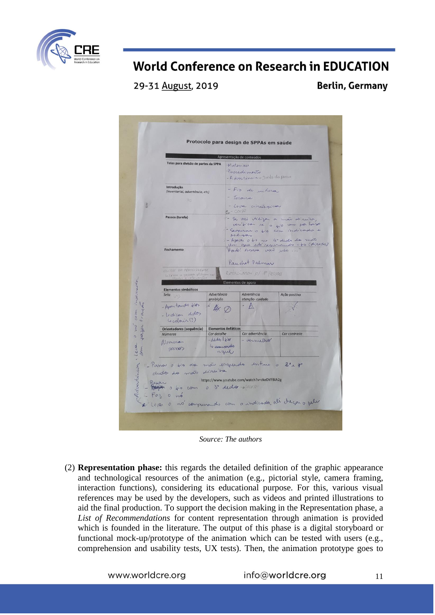

29-31 August, 2019

**Berlin, Germany** 

|                                                                                                                                     |                                                  | Apresentação de conteúdos                                                                                                                                                                 |                                                         |
|-------------------------------------------------------------------------------------------------------------------------------------|--------------------------------------------------|-------------------------------------------------------------------------------------------------------------------------------------------------------------------------------------------|---------------------------------------------------------|
| Telas para divisão de partes da SPPA                                                                                                |                                                  | Materiain<br>Procedimento<br>- A doutincia Junto do posso                                                                                                                                 |                                                         |
| Introdução<br>(inventarial, advertência, etc)                                                                                       |                                                  | - Fio de jutura<br>- Tesaira                                                                                                                                                              |                                                         |
| VAC)<br>Ä                                                                                                                           |                                                  | - Luva circulação<br>$-$ Corpo<br>- Se vai viligar a mai diruito,<br>veribican ix a fire can por house<br>- Sequenar o fio com indicado e<br>poligar<br>- Apaian o tio une le dedo da mão |                                                         |
| Passos (tarefa)                                                                                                                     |                                                  |                                                                                                                                                                                           |                                                         |
| Fechamento                                                                                                                          |                                                  | Un que está segunando o to (divita)<br>Provid! Agrova vai sube  "<br>Pauchet Palmar                                                                                                       |                                                         |
| ELIPSE DO PORMICIPANTE<br>Littens a pessoa pl focan vias                                                                            |                                                  | Rotacionan p/ 1º Pessoa<br>Elementos de apoio                                                                                                                                             |                                                         |
| <b>Elementos simbólicos</b>                                                                                                         |                                                  |                                                                                                                                                                                           |                                                         |
| Seta                                                                                                                                | Advertência<br>proibição                         | Advertência<br>atenção-cuidado                                                                                                                                                            | Ação positiva                                           |
| fazar tracky<br>- Apontando hios<br>- Indican dedos<br>Cocoloria (?)                                                                | 4.0                                              |                                                                                                                                                                                           |                                                         |
| Orientadores (sequência)                                                                                                            | <b>Elementos ênfáticos</b>                       |                                                                                                                                                                                           |                                                         |
| <b>Números</b><br>Numeron<br>parado                                                                                                 | Cor detalhe<br>$-dedx$<br>Le seminariles<br>azul | Cor advertência<br>- vermether                                                                                                                                                            | Cor contraste                                           |
| 11- Passar a fis da mão esquedo intre o 3° x 4°<br>dudles to man director<br>Payon of the com o 3° dedg - pure<br>$ F\alpha_3$ o nó |                                                  | https://www.youtube.com/watch?v=zkeDYFBIA2g                                                                                                                                               | * Lever a nã compumendo com a indicada alí decan a pele |

*Source: The authors*

(2) **Representation phase:** this regards the detailed definition of the graphic appearance and technological resources of the animation (e.g., pictorial style, camera framing, interaction functions), considering its educational purpose. For this, various visual references may be used by the developers, such as videos and printed illustrations to aid the final production. To support the decision making in the Representation phase, a *List of Recommendations* for content representation through animation is provided which is founded in the literature. The output of this phase is a digital storyboard or functional mock-up/prototype of the animation which can be tested with users (e.g., comprehension and usability tests, UX tests). Then, the animation prototype goes to

www.worldcre.org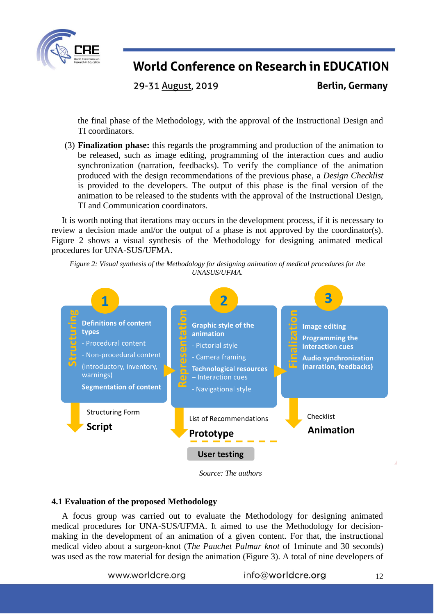

29-31 August, 2019

**Berlin, Germany** 

the final phase of the Methodology, with the approval of the Instructional Design and TI coordinators.

(3) **Finalization phase:** this regards the programming and production of the animation to be released, such as image editing, programming of the interaction cues and audio synchronization (narration, feedbacks). To verify the compliance of the animation produced with the design recommendations of the previous phase, a *Design Checklist* is provided to the developers. The output of this phase is the final version of the animation to be released to the students with the approval of the Instructional Design, TI and Communication coordinators.

It is worth noting that iterations may occurs in the development process, if it is necessary to review a decision made and/or the output of a phase is not approved by the coordinator(s). Figure 2 shows a visual synthesis of the Methodology for designing animated medical procedures for UNA-SUS/UFMA.





*Source: The authors*

#### **4.1 Evaluation of the proposed Methodology**

A focus group was carried out to evaluate the Methodology for designing animated medical procedures for UNA-SUS/UFMA. It aimed to use the Methodology for decisionmaking in the development of an animation of a given content. For that, the instructional medical video about a surgeon-knot (*The Pauchet Palmar knot* of 1minute and 30 seconds) was used as the row material for design the animation (Figure 3). A total of nine developers of

www.worldcre.org

info@worldcre.org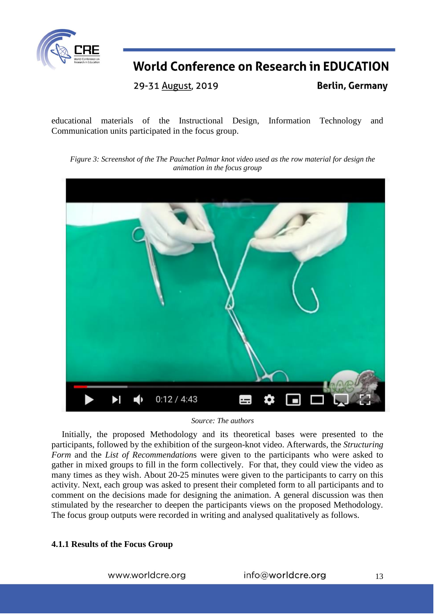

29-31 August, 2019

**Berlin, Germany** 

educational materials of the Instructional Design, Information Technology and Communication units participated in the focus group.

*Figure 3: Screenshot of the The Pauchet Palmar knot video used as the row material for design the animation in the focus group*



*Source: The authors*

Initially, the proposed Methodology and its theoretical bases were presented to the participants, followed by the exhibition of the surgeon-knot video. Afterwards, the *Structuring Form* and the *List of Recommendation*s were given to the participants who were asked to gather in mixed groups to fill in the form collectively. For that, they could view the video as many times as they wish. About 20-25 minutes were given to the participants to carry on this activity. Next, each group was asked to present their completed form to all participants and to comment on the decisions made for designing the animation. A general discussion was then stimulated by the researcher to deepen the participants views on the proposed Methodology. The focus group outputs were recorded in writing and analysed qualitatively as follows.

#### **4.1.1 Results of the Focus Group**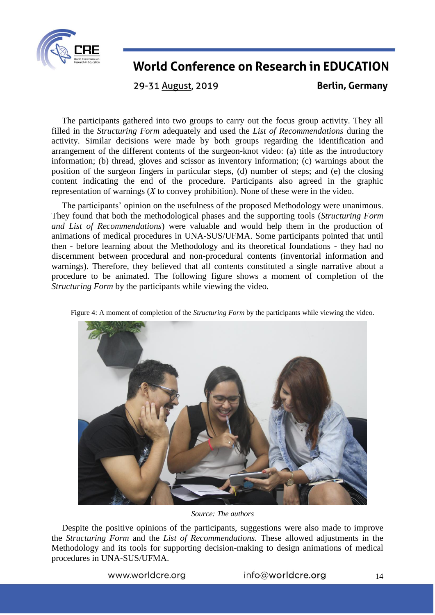

29-31 August, 2019

**Berlin, Germany** 

The participants gathered into two groups to carry out the focus group activity. They all filled in the *Structuring Form* adequately and used the *List of Recommendations* during the activity. Similar decisions were made by both groups regarding the identification and arrangement of the different contents of the surgeon-knot video: (a) title as the introductory information; (b) thread, gloves and scissor as inventory information; (c) warnings about the position of the surgeon fingers in particular steps, (d) number of steps; and (e) the closing content indicating the end of the procedure. Participants also agreed in the graphic representation of warnings (*X* to convey prohibition). None of these were in the video.

The participants' opinion on the usefulness of the proposed Methodology were unanimous. They found that both the methodological phases and the supporting tools (*Structuring Form and List of Recommendations*) were valuable and would help them in the production of animations of medical procedures in UNA-SUS/UFMA. Some participants pointed that until then - before learning about the Methodology and its theoretical foundations - they had no discernment between procedural and non-procedural contents (inventorial information and warnings). Therefore, they believed that all contents constituted a single narrative about a procedure to be animated. The following figure shows a moment of completion of the *Structuring Form* by the participants while viewing the video.

Figure 4: A moment of completion of the *Structuring Form* by the participants while viewing the video.



*Source: The authors*

Despite the positive opinions of the participants, suggestions were also made to improve the *Structuring Form* and the *List of Recommendations.* These allowed adjustments in the Methodology and its tools for supporting decision-making to design animations of medical procedures in UNA-SUS/UFMA.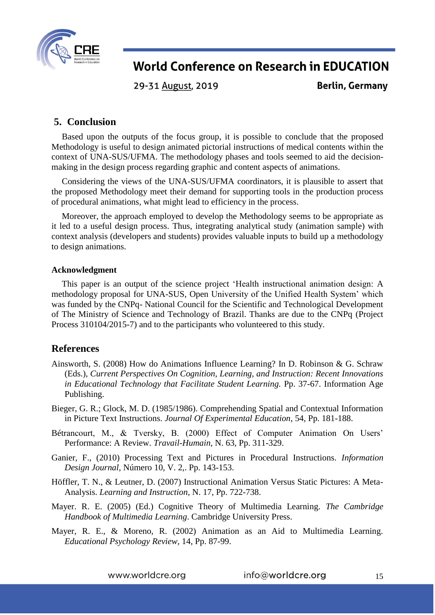

29-31 August, 2019

**Berlin, Germany** 

### **5. Conclusion**

Based upon the outputs of the focus group, it is possible to conclude that the proposed Methodology is useful to design animated pictorial instructions of medical contents within the context of UNA-SUS/UFMA. The methodology phases and tools seemed to aid the decisionmaking in the design process regarding graphic and content aspects of animations.

Considering the views of the UNA-SUS/UFMA coordinators, it is plausible to assert that the proposed Methodology meet their demand for supporting tools in the production process of procedural animations, what might lead to efficiency in the process.

Moreover, the approach employed to develop the Methodology seems to be appropriate as it led to a useful design process. Thus, integrating analytical study (animation sample) with context analysis (developers and students) provides valuable inputs to build up a methodology to design animations.

#### **Acknowledgment**

This paper is an output of the science project 'Health instructional animation design: A methodology proposal for UNA-SUS, Open University of the Unified Health System' which was funded by the CNPq- National Council for the Scientific and Technological Development of The Ministry of Science and Technology of Brazil. Thanks are due to the CNPq (Project Process 310104/2015-7) and to the participants who volunteered to this study.

### **References**

- Ainsworth, S. (2008) How do Animations Influence Learning? In D. Robinson & G. Schraw (Eds.), *Current Perspectives On Cognition, Learning, and Instruction: Recent Innovations in Educational Technology that Facilitate Student Learning.* Pp. 37-67. Information Age Publishing.
- Bieger, G. R.; Glock, M. D. (1985/1986). Comprehending Spatial and Contextual Information in Picture Text Instructions. *Journal Of Experimental Education*, 54, Pp. 181-188.
- Bétrancourt, M., & Tversky, B. (2000) Effect of Computer Animation On Users' Performance: A Review. *Travail-Humain,* N. 63, Pp. 311-329.
- Ganier, F., (2010) Processing Text and Pictures in Procedural Instructions. *Information Design Journal,* Número 10, V. 2,. Pp. 143-153.
- Höffler, T. N., & Leutner, D. (2007) Instructional Animation Versus Static Pictures: A Meta-Analysis. *Learning and Instruction*, N. 17, Pp. 722-738.
- Mayer. R. E. (2005) (Ed.) Cognitive Theory of Multimedia Learning. *The Cambridge Handbook of Multimedia Learning*. Cambridge University Press.
- Mayer, R. E., & Moreno, R. (2002) Animation as an Aid to Multimedia Learning. *Educational Psychology Review*, 14, Pp. 87-99.